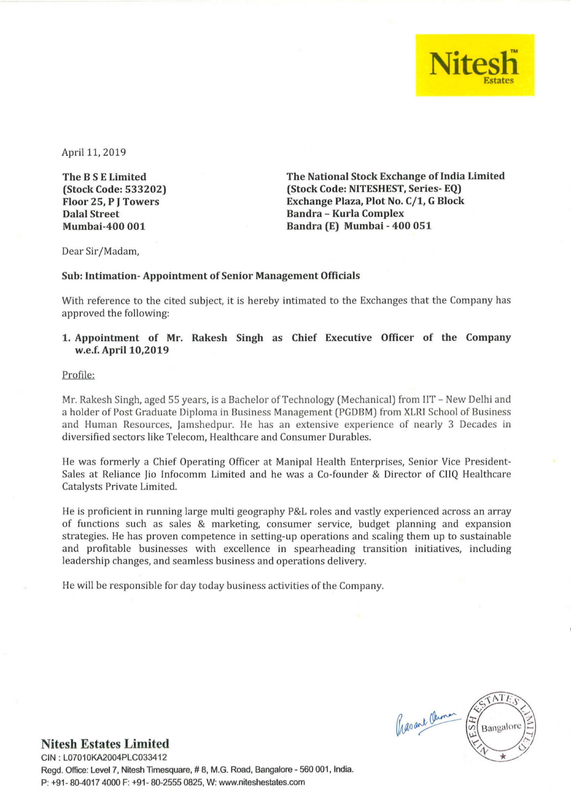

April 11, 2019

**The B S E Limited (Stock Code: 533202) Floor 25, P J Towers Dalal Street Mumbai-400 001** 

**The National Stock Exchange of India Limited (Stock Code: NITESHEST, Series- EQ) Exchange Plaza, Plot No. C/1, G Block Bandra - Kurla Complex Bandra (E) Mumbai - 400 051** 

Dear Sir/Madam,

#### **Sub: Intimation- Appointment of Senior Management Officials**

With reference to the cited subject, it is hereby intimated to the Exchanges that the Company has approved the following:

## **1. Appointment of Mr. Rakesh Singh as Chief Executive Officer of the Company w.e.f.** April 10,2019

Profile:

Mr. Rakesh Singh, aged 55 years, is a Bachelor of Technology (Mechanical) from lIT - New Delhi and a holder of Post Graduate Diploma in Business Management (PGDBM) from XLRI School of Business and Human Resources, Jamshedpur. He has an extensive experience of nearly 3 Decades in diversified sectors like Telecom, Healthcare and Consumer Durables.

He was formerly a Chief Operating Officer at Manipal Health Enterprises, Senior Vice President-Sales at Reliance Jio Infocomm Limited and he was a Co-founder & Director of CIIQ Healthcare Catalysts Private Limited.

He is proficient in running large multi geography P&L roles and vastly experienced across an array of functions such as sales & marketing, consumer service, budget planning and expansion strategies. He has proven competence in setting-up operations and scaling them up to sustainable and profitable businesses with excellence in spearheading transition initiatives, including leadership changes, and seamless business and operations delivery.

He will be responsible for day today business activities of the Company.

Prasant Clume Bangalore

## **Nitesh Estates Limited**

CIN : L07010KA2004PLC033412 Regd. Office: Level 7, Nitesh Timesquare, # 8, M.G. Road, Bangalore - 560 001, India. P: +91- 80-40174000 F: +91- 80-2555 0825, W: www.niteshestates.com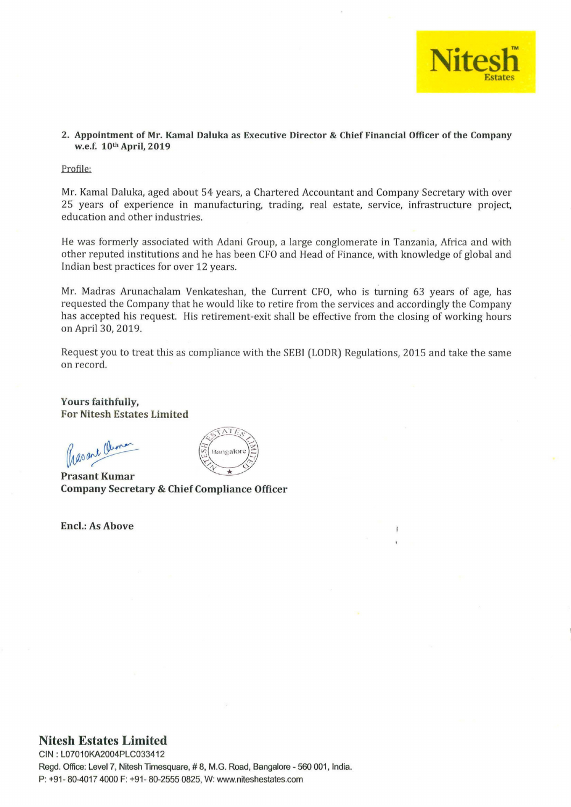

#### 2. Appointment of Mr. Kamal Daluka as Executive Director & Chief Financial Officer of the Company w.e.f. 10th April, 2019

Profile:

Mr. Kamal Daluka, aged about 54 years, a Chartered Accountant and Company Secretary with over 25 years of experience in manufacturing, trading, real estate, service, infrastructure project, education and other industries.

He was formerly associated with Adani Group, a large conglomerate in Tanzania, Africa and with other reputed institutions and he has been CFO and Head of Finance, with knowledge of global and Indian best practices for over 12 years.

Mr. Madras Arunachalam Venkateshan, the Current CFO, who is turning 63 years of age, has requested the Company that he would like to retire from the services and accordingly the Company has accepted his request. His retirement-exit shall be effective from the closing of working hours on April 30, 2019.

Request you to treat this as compliance with the SEBI (LODR) Regulations, 2015 and take the same on record.

Yours faithfully, For Nitesh Estates Limited

Prasant Clum

Bangalor

Prasant Kumar Company Secretary & Chief Compliance Officer

Encl.: As Above

# Nitesh Estates Limited

CIN : L07010KA2004PLC033412 Regd. Office: Level 7, Nitesh Timesquare, # 8, M.G. Road, Bangalore - 560 001, India. P: +91 · 804017 4000 F: +91 · 80-2555 0825, W: www.niteshestates.com